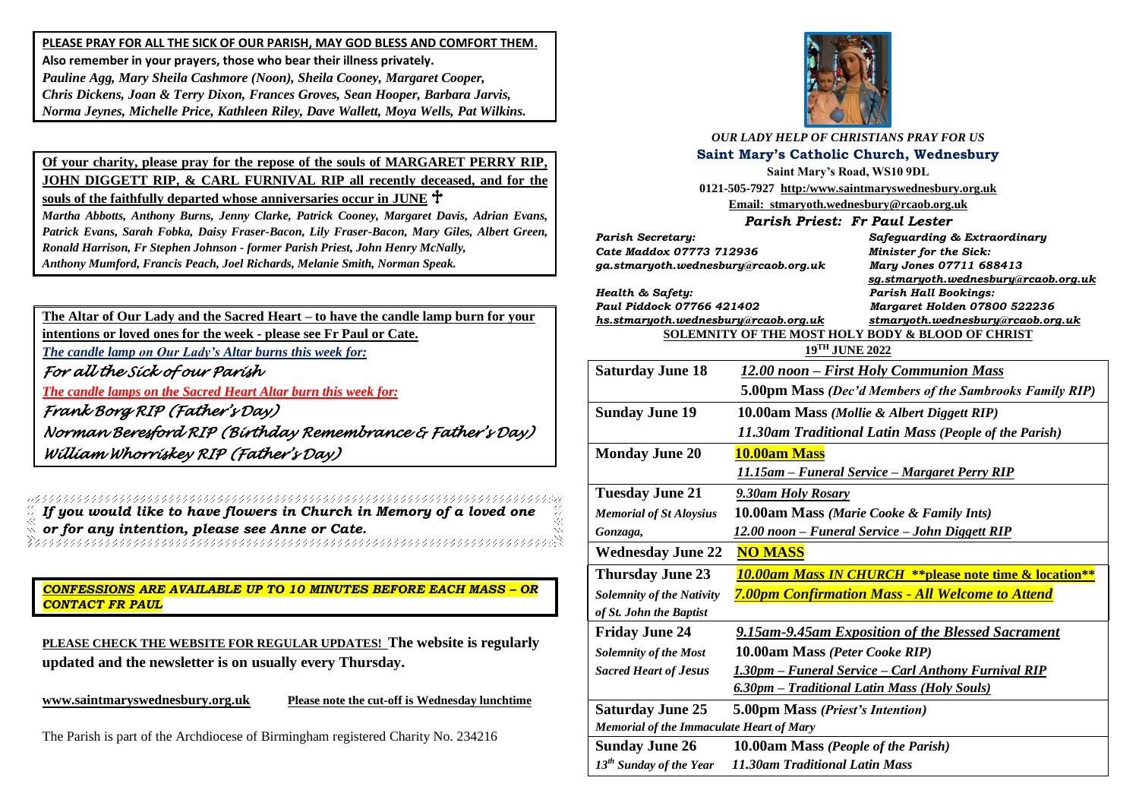**PLEASE PRAY FOR ALL THE SICK OF OUR PARISH, MAY GOD BLESS AND COMFORT THEM. Also remember in your prayers, those who bear their illness privately.** *Pauline Agg, Mary Sheila Cashmore (Noon), Sheila Cooney, Margaret Cooper, Chris Dickens, Joan & Terry Dixon, Frances Groves, Sean Hooper, Barbara Jarvis, Norma Jeynes, Michelle Price, Kathleen Riley, Dave Wallett, Moya Wells, Pat Wilkins.*

**Of your charity, please pray for the repose of the souls of MARGARET PERRY RIP, JOHN DIGGETT RIP, & CARL FURNIVAL RIP all recently deceased, and for the souls of the faithfully departed whose anniversaries occur in JUNE**

*Martha Abbotts, Anthony Burns, Jenny Clarke, Patrick Cooney, Margaret Davis, Adrian Evans, Patrick Evans, Sarah Fobka, Daisy Fraser-Bacon, Lily Fraser-Bacon, Mary Giles, Albert Green, Ronald Harrison, Fr Stephen Johnson - former Parish Priest, John Henry McNally, Anthony Mumford, Francis Peach, Joel Richards, Melanie Smith, Norman Speak.* 

**The Altar of Our Lady and the Sacred Heart – to have the candle lamp burn for your intentions or loved ones for the week - please see Fr Paul or Cate.** *The candle lamp on Our Lady's Altar burns this week for: For all the Sick of our Parish The candle lamps on the Sacred Heart Altar burn this week for: Frank Borg RIP (Father's Day) Norman Beresford RIP (Birthday Remembrance & Father's Day) William Whorriskey RIP (Father's Day)* 

*If you would like to have flowers in Church in Memory of a loved one or for any intention, please see Anne or Cate.*

*CONFESSIONS ARE AVAILABLE UP TO 10 MINUTES BEFORE EACH MASS – OR CONTACT FR PAUL*

**PLEASE CHECK THE WEBSITE FOR REGULAR UPDATES! The website is regularly updated and the newsletter is on usually every Thursday.** 

**[www.saintmaryswednesbury.org.uk](http://www.saintmaryswednesbury.org.uk/) Please note the cut-off is Wednesday lunchtime**

The Parish is part of the Archdiocese of Birmingham registered Charity No. 234216



*OUR LADY HELP OF CHRISTIANS PRAY FOR US* **Saint Mary's Catholic Church, Wednesbury**

**Saint Mary's Road, WS10 9DL 0121-505-7927 http:/www.saintmaryswednesbury.org.uk**

**Email: stmaryoth.wednesbury@rcaob.org.uk**

*Parish Priest: Fr Paul Lester*

| Parish Secretary:<br>Cate Maddox 07773 712936<br>ga.stmaryoth.wednesbury@rcaob.org.uk  |                                                                                                                                      | Safeguarding & Extraordinary<br>Minister for the Sick:<br>Mary Jones 07711 688413<br>sg.stmaryoth.wednesbury@rcaob.org.uk |
|----------------------------------------------------------------------------------------|--------------------------------------------------------------------------------------------------------------------------------------|---------------------------------------------------------------------------------------------------------------------------|
| Health & Safety:<br>Paul Piddock 07766 421402<br>hs.stmaryoth.wednesbury@rcaob.org.uk  |                                                                                                                                      | <b>Parish Hall Bookings:</b><br>Margaret Holden 07800 522236<br>stmaryoth.wednesbury@rcaob.org.uk                         |
| SOLEMNITY OF THE MOST HOLY BODY & BLOOD OF CHRIST<br>19TH JUNE 2022                    |                                                                                                                                      |                                                                                                                           |
| <b>Saturday June 18</b>                                                                | <u> 12.00 noon – First Holy Communion Mass</u><br>5.00pm Mass (Dec'd Members of the Sambrooks Family RIP)                            |                                                                                                                           |
| <b>Sunday June 19</b>                                                                  | 10.00am Mass (Mollie & Albert Diggett RIP)<br>11.30am Traditional Latin Mass (People of the Parish)                                  |                                                                                                                           |
| <b>Monday June 20</b>                                                                  | 10.00am Mass<br>11.15am - Funeral Service - Margaret Perry RIP                                                                       |                                                                                                                           |
| <b>Tuesday June 21</b><br><b>Memorial of St Aloysius</b><br>Gonzaga,                   | 9.30am Holy Rosary<br><b>10.00am Mass (Marie Cooke &amp; Family Ints)</b><br><u> 12.00 noon – Funeral Service – John Diggett RIP</u> |                                                                                                                           |
| <b>Wednesday June 22</b>                                                               | <b>NO MASS</b>                                                                                                                       |                                                                                                                           |
| <b>Thursday June 23</b><br><b>Solemnity of the Nativity</b><br>of St. John the Baptist |                                                                                                                                      | 10.00am Mass IN CHURCH ** please note time & location**<br><b>7.00pm Confirmation Mass - All Welcome to Attend</b>        |
| <b>Friday June 24</b><br><b>Solemnity of the Most</b><br><b>Sacred Heart of Jesus</b>  | 10.00am Mass (Peter Cooke RIP)<br><u> 6.30pm – Traditional Latin Mass (Holy Souls)</u>                                               | 9.15am-9.45am Exposition of the Blessed Sacrament<br>1.30pm - Funeral Service - Carl Anthony Furnival RIP                 |
| <b>Saturday June 25</b><br>Memorial of the Immaculate Heart of Mary                    | 5.00pm Mass (Priest's Intention)                                                                                                     |                                                                                                                           |
| <b>Sunday June 26</b><br>13 <sup>th</sup> Sunday of the Year                           | 10.00am Mass (People of the Parish)<br>11.30am Traditional Latin Mass                                                                |                                                                                                                           |